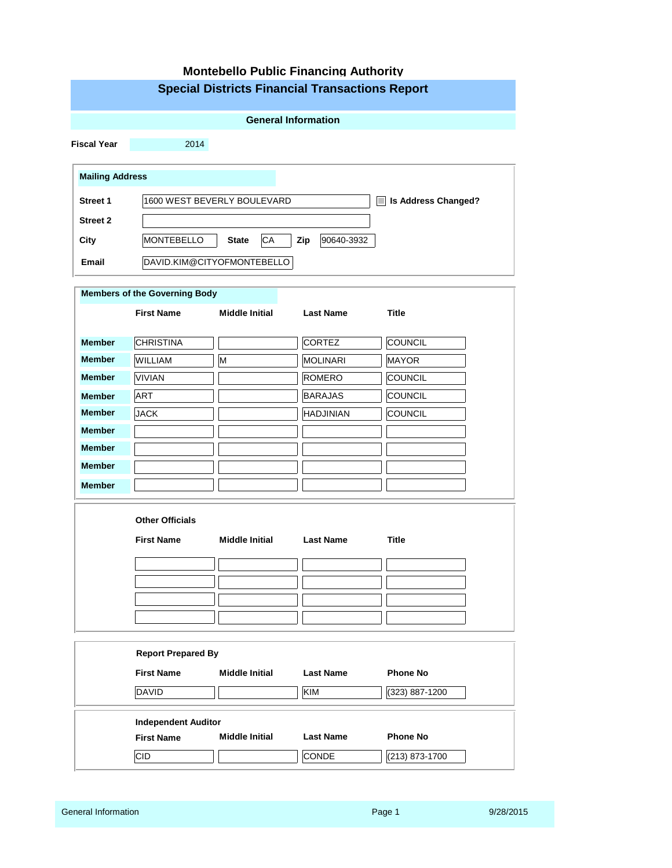| <b>Montebello Public Financing Authority</b> |                                                 |                                                        |                   |                                           |  |  |  |  |  |  |
|----------------------------------------------|-------------------------------------------------|--------------------------------------------------------|-------------------|-------------------------------------------|--|--|--|--|--|--|
|                                              |                                                 | <b>Special Districts Financial Transactions Report</b> |                   |                                           |  |  |  |  |  |  |
|                                              |                                                 |                                                        |                   |                                           |  |  |  |  |  |  |
| <b>General Information</b>                   |                                                 |                                                        |                   |                                           |  |  |  |  |  |  |
| <b>Fiscal Year</b>                           | 2014                                            |                                                        |                   |                                           |  |  |  |  |  |  |
| <b>Mailing Address</b>                       |                                                 |                                                        |                   |                                           |  |  |  |  |  |  |
|                                              | 1600 WEST BEVERLY BOULEVARD                     |                                                        |                   |                                           |  |  |  |  |  |  |
| <b>Street 1</b>                              |                                                 |                                                        |                   | <b>Is Address Changed?</b><br><b>Tale</b> |  |  |  |  |  |  |
| <b>Street 2</b>                              |                                                 |                                                        |                   |                                           |  |  |  |  |  |  |
| City                                         | MONTEBELLO                                      | CA<br><b>State</b>                                     | Zip<br>90640-3932 |                                           |  |  |  |  |  |  |
| <b>Email</b>                                 |                                                 | DAVID.KIM@CITYOFMONTEBELLO                             |                   |                                           |  |  |  |  |  |  |
|                                              | <b>Members of the Governing Body</b>            |                                                        |                   |                                           |  |  |  |  |  |  |
|                                              | <b>First Name</b>                               | <b>Middle Initial</b>                                  | <b>Last Name</b>  | <b>Title</b>                              |  |  |  |  |  |  |
|                                              |                                                 |                                                        |                   |                                           |  |  |  |  |  |  |
| <b>Member</b>                                | <b>CHRISTINA</b>                                |                                                        | <b>CORTEZ</b>     | COUNCIL                                   |  |  |  |  |  |  |
| <b>Member</b>                                | WILLIAM                                         | M                                                      | <b>MOLINARI</b>   | MAYOR                                     |  |  |  |  |  |  |
| <b>Member</b>                                | <b>VIVIAN</b>                                   |                                                        | <b>ROMERO</b>     | COUNCIL                                   |  |  |  |  |  |  |
| <b>Member</b>                                | <b>ART</b>                                      |                                                        | <b>BARAJAS</b>    | COUNCIL                                   |  |  |  |  |  |  |
| <b>Member</b>                                | <b>JACK</b>                                     |                                                        | <b>HADJINIAN</b>  | COUNCIL                                   |  |  |  |  |  |  |
| <b>Member</b>                                |                                                 |                                                        |                   |                                           |  |  |  |  |  |  |
| <b>Member</b>                                |                                                 |                                                        |                   |                                           |  |  |  |  |  |  |
| <b>Member</b>                                |                                                 |                                                        |                   |                                           |  |  |  |  |  |  |
| <b>Member</b>                                |                                                 |                                                        |                   |                                           |  |  |  |  |  |  |
|                                              | <b>Other Officials</b>                          |                                                        |                   |                                           |  |  |  |  |  |  |
|                                              | <b>First Name</b>                               | <b>Middle Initial</b>                                  | <b>Last Name</b>  | <b>Title</b>                              |  |  |  |  |  |  |
|                                              |                                                 |                                                        |                   |                                           |  |  |  |  |  |  |
|                                              |                                                 |                                                        |                   |                                           |  |  |  |  |  |  |
|                                              |                                                 |                                                        |                   |                                           |  |  |  |  |  |  |
|                                              |                                                 |                                                        |                   |                                           |  |  |  |  |  |  |
|                                              |                                                 |                                                        |                   |                                           |  |  |  |  |  |  |
|                                              | <b>Report Prepared By</b>                       |                                                        |                   |                                           |  |  |  |  |  |  |
|                                              | <b>First Name</b>                               | <b>Middle Initial</b>                                  | <b>Last Name</b>  | <b>Phone No</b>                           |  |  |  |  |  |  |
|                                              | <b>DAVID</b>                                    |                                                        | <b>KIM</b>        | (323) 887-1200                            |  |  |  |  |  |  |
|                                              |                                                 |                                                        |                   |                                           |  |  |  |  |  |  |
|                                              | <b>Independent Auditor</b><br><b>First Name</b> | <b>Middle Initial</b>                                  | <b>Last Name</b>  | <b>Phone No</b>                           |  |  |  |  |  |  |
|                                              |                                                 |                                                        |                   |                                           |  |  |  |  |  |  |
|                                              | <b>CID</b><br>CONDE<br>(213) 873-1700           |                                                        |                   |                                           |  |  |  |  |  |  |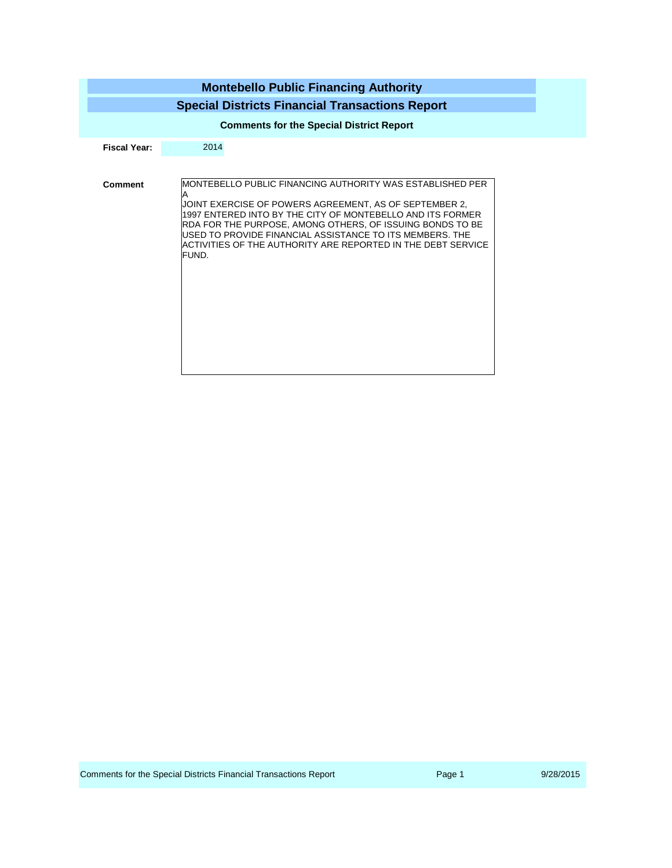|                     | <b>Montebello Public Financing Authority</b><br><b>Special Districts Financial Transactions Report</b>                                                                                                                                                                                                                                                                                   |  |  |  |  |  |  |
|---------------------|------------------------------------------------------------------------------------------------------------------------------------------------------------------------------------------------------------------------------------------------------------------------------------------------------------------------------------------------------------------------------------------|--|--|--|--|--|--|
|                     | <b>Comments for the Special District Report</b>                                                                                                                                                                                                                                                                                                                                          |  |  |  |  |  |  |
| <b>Fiscal Year:</b> | 2014                                                                                                                                                                                                                                                                                                                                                                                     |  |  |  |  |  |  |
| <b>Comment</b>      | MONTEBELLO PUBLIC FINANCING AUTHORITY WAS ESTABLISHED PER<br>A<br>JOINT EXERCISE OF POWERS AGREEMENT, AS OF SEPTEMBER 2,<br>1997 ENTERED INTO BY THE CITY OF MONTEBELLO AND ITS FORMER<br>RDA FOR THE PURPOSE, AMONG OTHERS, OF ISSUING BONDS TO BE<br>USED TO PROVIDE FINANCIAL ASSISTANCE TO ITS MEMBERS. THE<br>ACTIVITIES OF THE AUTHORITY ARE REPORTED IN THE DEBT SERVICE<br>FUND. |  |  |  |  |  |  |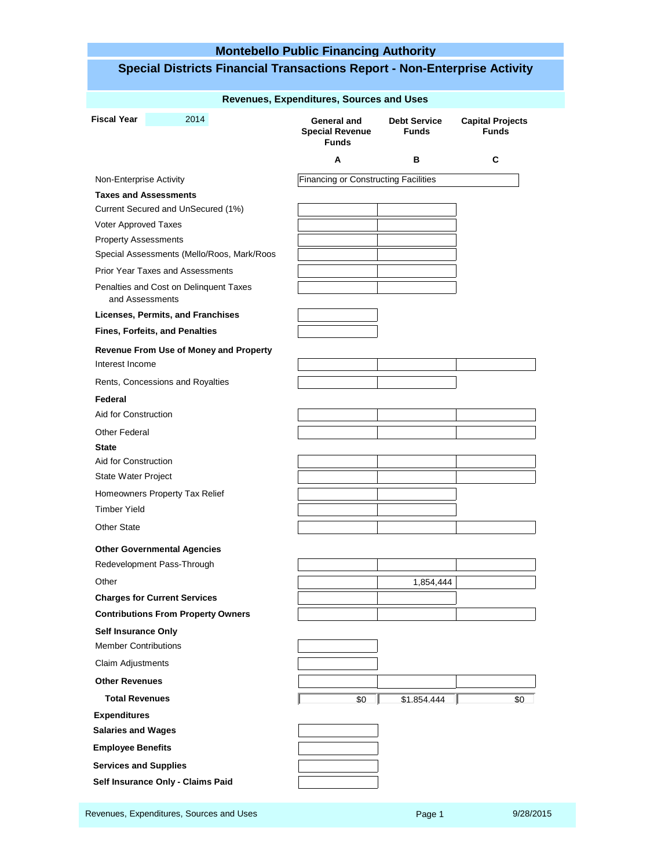### **Montebello Public Financing Authority Special Districts Financial Transactions Report - Non-Enterprise Activity Revenues, Expenditures, Sources and Uses General and Special Revenue Funds Debt Service Funds Capital Projects Funds A B C Fiscal Year** 2014 Non-Enterprise Activity **Taxes and Assessments** Current Secured and UnSecured (1%) Voter Approved Taxes Prior Year Taxes and Assessments Property Assessments Special Assessments (Mello/Roos, Mark/Roos Penalties and Cost on Delinquent Taxes **Licenses, Permits, and Franchises Fines, Forfeits, and Penalties Revenue From Use of Money and Property** Interest Income Rents, Concessions and Royalties **State** Aid for Construction Homeowners Property Tax Relief State Water Project Timber Yield Other State **Federal** Aid for Construction Other Federal **Other Governmental Agencies** Redevelopment Pass-Through Other 1,854,444 **1,854,444 Charges for Current Services Self Insurance Only** Member Contributions Claim Adjustments **Other Revenues Contributions From Property Owners Total Revenues 1.854.444** Financing or Constructing Facilities and Assessments **Salaries and Wages Employee Benefits Services and Supplies Self Insurance Only - Claims Paid Expenditures** \$0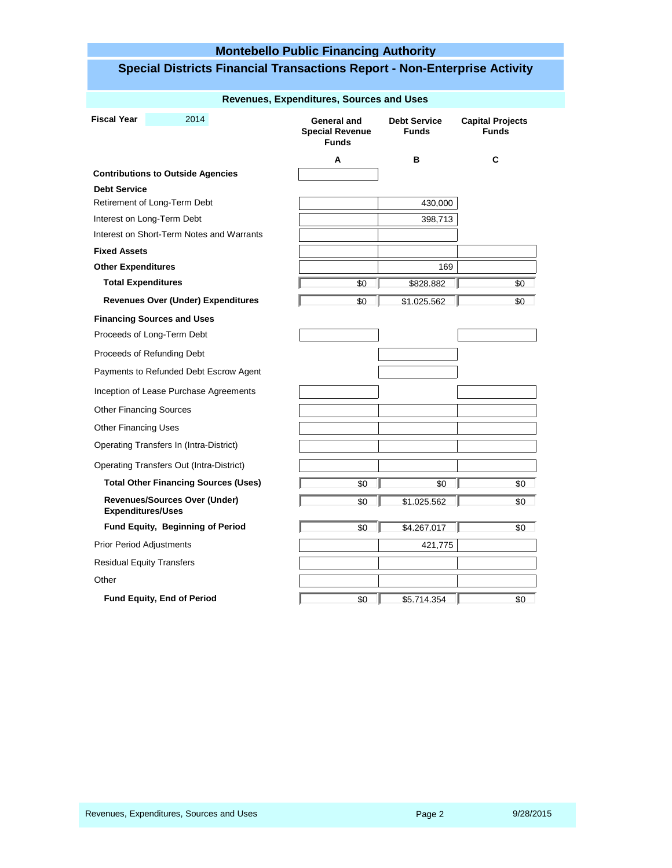## **Montebello Public Financing Authority**

|                                   |                                             | Revenues, Expenditures, Sources and Uses              |                                     |                                         |
|-----------------------------------|---------------------------------------------|-------------------------------------------------------|-------------------------------------|-----------------------------------------|
| <b>Fiscal Year</b>                | 2014                                        | General and<br><b>Special Revenue</b><br><b>Funds</b> | <b>Debt Service</b><br><b>Funds</b> | <b>Capital Projects</b><br><b>Funds</b> |
|                                   |                                             | A                                                     | в                                   | C                                       |
|                                   | <b>Contributions to Outside Agencies</b>    |                                                       |                                     |                                         |
| <b>Debt Service</b>               |                                             |                                                       |                                     |                                         |
| Retirement of Long-Term Debt      |                                             |                                                       | 430,000                             |                                         |
| Interest on Long-Term Debt        |                                             |                                                       | 398,713                             |                                         |
|                                   | Interest on Short-Term Notes and Warrants   |                                                       |                                     |                                         |
| <b>Fixed Assets</b>               |                                             |                                                       |                                     |                                         |
| <b>Other Expenditures</b>         |                                             |                                                       | 169                                 |                                         |
| <b>Total Expenditures</b>         |                                             | \$0                                                   | \$828.882                           | \$0                                     |
|                                   | <b>Revenues Over (Under) Expenditures</b>   | \$0                                                   | \$1.025.562                         | \$0                                     |
| <b>Financing Sources and Uses</b> |                                             |                                                       |                                     |                                         |
| Proceeds of Long-Term Debt        |                                             |                                                       |                                     |                                         |
| Proceeds of Refunding Debt        |                                             |                                                       |                                     |                                         |
|                                   | Payments to Refunded Debt Escrow Agent      |                                                       |                                     |                                         |
|                                   | Inception of Lease Purchase Agreements      |                                                       |                                     |                                         |
| <b>Other Financing Sources</b>    |                                             |                                                       |                                     |                                         |
| Other Financing Uses              |                                             |                                                       |                                     |                                         |
|                                   | Operating Transfers In (Intra-District)     |                                                       |                                     |                                         |
|                                   | Operating Transfers Out (Intra-District)    |                                                       |                                     |                                         |
|                                   | <b>Total Other Financing Sources (Uses)</b> | \$0                                                   | \$0                                 | \$0                                     |
| <b>Expenditures/Uses</b>          | <b>Revenues/Sources Over (Under)</b>        | \$0                                                   | \$1.025.562                         | \$0                                     |
|                                   | Fund Equity, Beginning of Period            | \$0                                                   | \$4.267.017                         | \$0                                     |
| <b>Prior Period Adjustments</b>   |                                             |                                                       | 421,775                             |                                         |
| <b>Residual Equity Transfers</b>  |                                             |                                                       |                                     |                                         |
| Other                             |                                             |                                                       |                                     |                                         |
| Fund Equity, End of Period        |                                             | \$0                                                   | \$5.714.354                         | \$0                                     |

# **Special Districts Financial Transactions Report - Non-Enterprise Activity**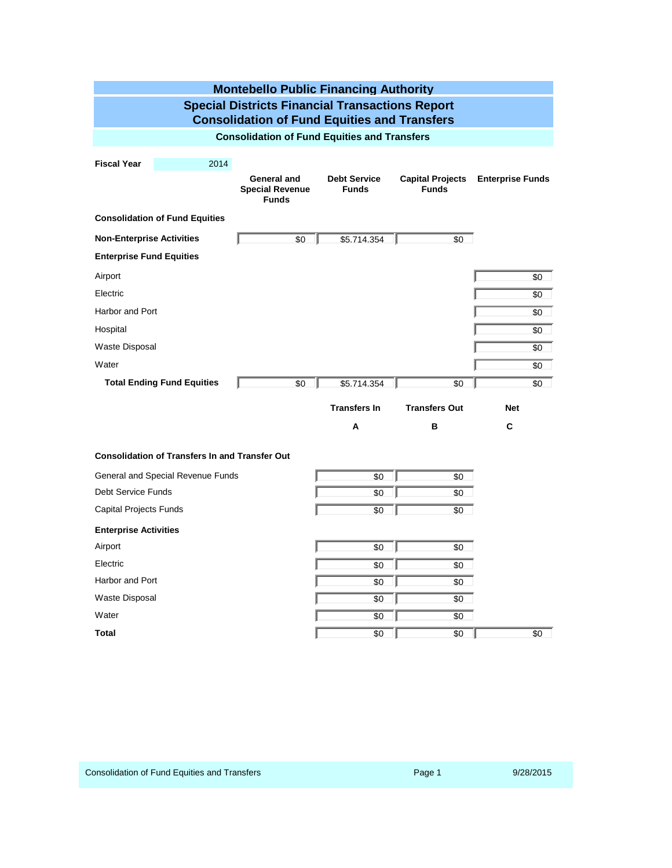| <b>Montebello Public Financing Authority</b>                                                                  |                                                       |                                     |                                         |                         |  |  |  |  |
|---------------------------------------------------------------------------------------------------------------|-------------------------------------------------------|-------------------------------------|-----------------------------------------|-------------------------|--|--|--|--|
| <b>Special Districts Financial Transactions Report</b><br><b>Consolidation of Fund Equities and Transfers</b> |                                                       |                                     |                                         |                         |  |  |  |  |
| <b>Consolidation of Fund Equities and Transfers</b>                                                           |                                                       |                                     |                                         |                         |  |  |  |  |
| <b>Fiscal Year</b><br>2014                                                                                    | General and<br><b>Special Revenue</b><br><b>Funds</b> | <b>Debt Service</b><br><b>Funds</b> | <b>Capital Projects</b><br><b>Funds</b> | <b>Enterprise Funds</b> |  |  |  |  |
| <b>Consolidation of Fund Equities</b>                                                                         |                                                       |                                     |                                         |                         |  |  |  |  |
| <b>Non-Enterprise Activities</b>                                                                              | \$0                                                   | \$5.714.354                         | \$0                                     |                         |  |  |  |  |
| <b>Enterprise Fund Equities</b>                                                                               |                                                       |                                     |                                         |                         |  |  |  |  |
| Airport                                                                                                       |                                                       |                                     |                                         | \$0                     |  |  |  |  |
| Electric                                                                                                      |                                                       |                                     |                                         | \$0                     |  |  |  |  |
| Harbor and Port                                                                                               |                                                       |                                     |                                         | \$0                     |  |  |  |  |
| Hospital                                                                                                      |                                                       |                                     |                                         | \$0                     |  |  |  |  |
| <b>Waste Disposal</b>                                                                                         |                                                       |                                     |                                         | \$0                     |  |  |  |  |
| Water                                                                                                         |                                                       |                                     |                                         | \$0                     |  |  |  |  |
| <b>Total Ending Fund Equities</b>                                                                             | \$0                                                   | \$5.714.354                         | \$0                                     | \$0                     |  |  |  |  |
|                                                                                                               |                                                       | <b>Transfers In</b>                 | <b>Transfers Out</b>                    | <b>Net</b>              |  |  |  |  |
|                                                                                                               |                                                       | A                                   | в                                       | C                       |  |  |  |  |
| <b>Consolidation of Transfers In and Transfer Out</b>                                                         |                                                       |                                     |                                         |                         |  |  |  |  |
| General and Special Revenue Funds                                                                             |                                                       | \$0                                 | \$0                                     |                         |  |  |  |  |
| <b>Debt Service Funds</b>                                                                                     |                                                       | \$0                                 | \$0                                     |                         |  |  |  |  |
| <b>Capital Projects Funds</b>                                                                                 |                                                       | \$0                                 | \$0                                     |                         |  |  |  |  |
| <b>Enterprise Activities</b>                                                                                  |                                                       |                                     |                                         |                         |  |  |  |  |
| Airport                                                                                                       |                                                       | \$0                                 | \$0                                     |                         |  |  |  |  |
| Electric                                                                                                      |                                                       | \$0                                 | \$0                                     |                         |  |  |  |  |
| Harbor and Port                                                                                               |                                                       | \$0                                 | \$0                                     |                         |  |  |  |  |
| <b>Waste Disposal</b>                                                                                         | \$0                                                   |                                     |                                         |                         |  |  |  |  |
| Water                                                                                                         |                                                       | \$0                                 | \$0                                     |                         |  |  |  |  |
| <b>Total</b>                                                                                                  |                                                       | \$0                                 | \$0                                     | \$0                     |  |  |  |  |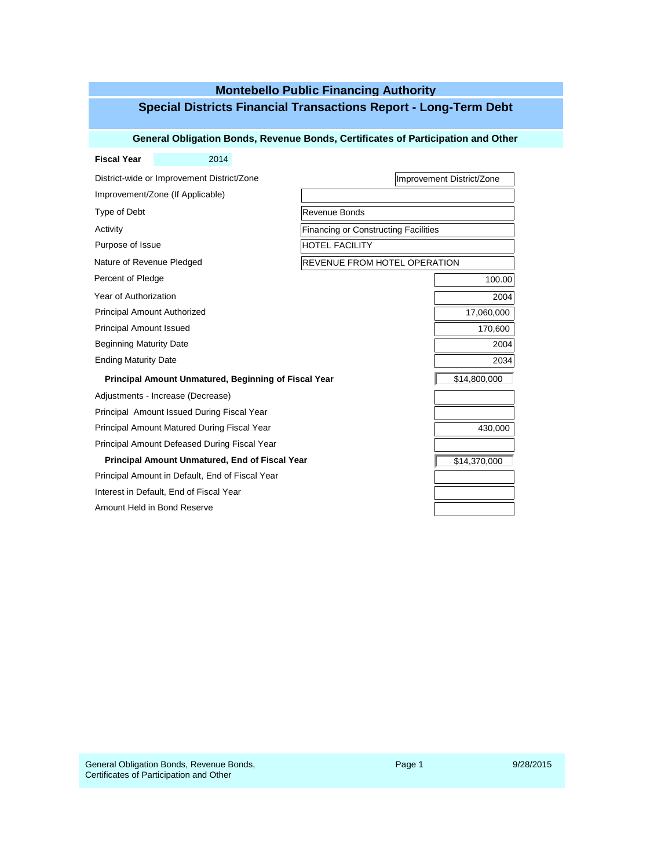## **Montebello Public Financing Authority Special Districts Financial Transactions Report - Long-Term Debt**

#### **General Obligation Bonds, Revenue Bonds, Certificates of Participation and Other**

| <b>Fiscal Year</b>                                    | 2014                                         |                                             |                           |  |  |
|-------------------------------------------------------|----------------------------------------------|---------------------------------------------|---------------------------|--|--|
|                                                       | District-wide or Improvement District/Zone   |                                             | Improvement District/Zone |  |  |
|                                                       | Improvement/Zone (If Applicable)             |                                             |                           |  |  |
| Type of Debt                                          |                                              | Revenue Bonds                               |                           |  |  |
| Activity                                              |                                              | <b>Financing or Constructing Facilities</b> |                           |  |  |
| Purpose of Issue                                      |                                              | <b>HOTEL FACILITY</b>                       |                           |  |  |
| Nature of Revenue Pledged                             |                                              | REVENUE FROM HOTEL OPERATION                |                           |  |  |
| Percent of Pledge                                     |                                              |                                             | 100.00                    |  |  |
| Year of Authorization                                 |                                              |                                             | 2004                      |  |  |
| <b>Principal Amount Authorized</b>                    |                                              |                                             | 17,060,000                |  |  |
| <b>Principal Amount Issued</b>                        | 170,600                                      |                                             |                           |  |  |
| <b>Beginning Maturity Date</b>                        |                                              |                                             | 2004                      |  |  |
| <b>Ending Maturity Date</b>                           |                                              | 2034                                        |                           |  |  |
| Principal Amount Unmatured, Beginning of Fiscal Year  | \$14,800,000                                 |                                             |                           |  |  |
|                                                       | Adjustments - Increase (Decrease)            |                                             |                           |  |  |
|                                                       | Principal Amount Issued During Fiscal Year   |                                             |                           |  |  |
|                                                       | Principal Amount Matured During Fiscal Year  |                                             | 430,000                   |  |  |
|                                                       | Principal Amount Defeased During Fiscal Year |                                             |                           |  |  |
| <b>Principal Amount Unmatured, End of Fiscal Year</b> | \$14,370,000                                 |                                             |                           |  |  |
| Principal Amount in Default, End of Fiscal Year       |                                              |                                             |                           |  |  |
| Interest in Default, End of Fiscal Year               |                                              |                                             |                           |  |  |
| Amount Held in Bond Reserve                           |                                              |                                             |                           |  |  |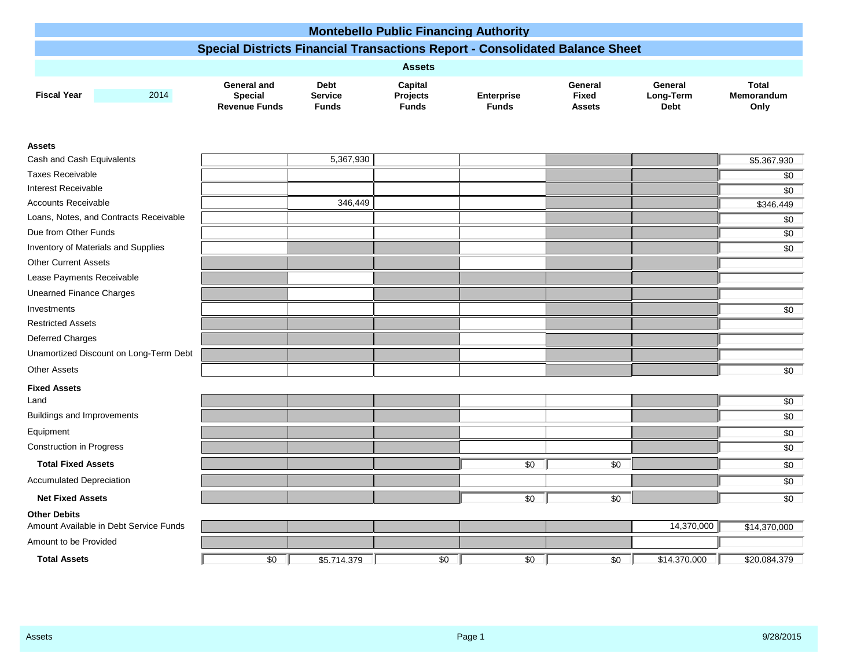|                                   |                                        |                                                                                     |                                               | <b>Montebello Public Financing Authority</b> |                                   |                                          |                                     |                                    |
|-----------------------------------|----------------------------------------|-------------------------------------------------------------------------------------|-----------------------------------------------|----------------------------------------------|-----------------------------------|------------------------------------------|-------------------------------------|------------------------------------|
|                                   |                                        | <b>Special Districts Financial Transactions Report - Consolidated Balance Sheet</b> |                                               |                                              |                                   |                                          |                                     |                                    |
|                                   |                                        |                                                                                     |                                               |                                              |                                   |                                          |                                     |                                    |
|                                   |                                        |                                                                                     |                                               | <b>Assets</b>                                |                                   |                                          |                                     |                                    |
| <b>Fiscal Year</b>                | 2014                                   | General and<br><b>Special</b><br><b>Revenue Funds</b>                               | <b>Debt</b><br><b>Service</b><br><b>Funds</b> | Capital<br>Projects<br><b>Funds</b>          | <b>Enterprise</b><br><b>Funds</b> | General<br><b>Fixed</b><br><b>Assets</b> | General<br>Long-Term<br><b>Debt</b> | <b>Total</b><br>Memorandum<br>Only |
| <b>Assets</b>                     |                                        |                                                                                     |                                               |                                              |                                   |                                          |                                     |                                    |
| Cash and Cash Equivalents         |                                        |                                                                                     | 5,367,930                                     |                                              |                                   |                                          |                                     | \$5.367.930                        |
| Taxes Receivable                  |                                        |                                                                                     |                                               |                                              |                                   |                                          |                                     | \$0                                |
| Interest Receivable               |                                        |                                                                                     |                                               |                                              |                                   |                                          |                                     | \$0                                |
| <b>Accounts Receivable</b>        |                                        |                                                                                     | 346,449                                       |                                              |                                   |                                          |                                     | \$346.449                          |
|                                   | Loans, Notes, and Contracts Receivable |                                                                                     |                                               |                                              |                                   |                                          |                                     | \$0                                |
| Due from Other Funds              |                                        |                                                                                     |                                               |                                              |                                   |                                          |                                     | \$0                                |
|                                   | Inventory of Materials and Supplies    |                                                                                     |                                               |                                              |                                   |                                          |                                     | \$0                                |
| <b>Other Current Assets</b>       |                                        |                                                                                     |                                               |                                              |                                   |                                          |                                     |                                    |
| Lease Payments Receivable         |                                        |                                                                                     |                                               |                                              |                                   |                                          |                                     |                                    |
| <b>Unearned Finance Charges</b>   |                                        |                                                                                     |                                               |                                              |                                   |                                          |                                     |                                    |
| Investments                       |                                        |                                                                                     |                                               |                                              |                                   |                                          |                                     | $\overline{30}$                    |
| <b>Restricted Assets</b>          |                                        |                                                                                     |                                               |                                              |                                   |                                          |                                     |                                    |
| Deferred Charges                  |                                        |                                                                                     |                                               |                                              |                                   |                                          |                                     |                                    |
|                                   | Unamortized Discount on Long-Term Debt |                                                                                     |                                               |                                              |                                   |                                          |                                     |                                    |
| <b>Other Assets</b>               |                                        |                                                                                     |                                               |                                              |                                   |                                          |                                     | $\overline{30}$                    |
| <b>Fixed Assets</b>               |                                        |                                                                                     |                                               |                                              |                                   |                                          |                                     |                                    |
| Land                              |                                        |                                                                                     |                                               |                                              |                                   |                                          |                                     | $\overline{30}$                    |
| <b>Buildings and Improvements</b> |                                        |                                                                                     |                                               |                                              |                                   |                                          |                                     | $\overline{30}$                    |
| Equipment                         |                                        |                                                                                     |                                               |                                              |                                   |                                          |                                     | \$0                                |
| <b>Construction in Progress</b>   |                                        |                                                                                     |                                               |                                              |                                   |                                          |                                     | $\overline{30}$                    |
| <b>Total Fixed Assets</b>         |                                        |                                                                                     |                                               |                                              | $\overline{30}$                   | $\overline{30}$                          |                                     | \$0                                |
| <b>Accumulated Depreciation</b>   |                                        |                                                                                     |                                               |                                              |                                   |                                          |                                     | $\overline{30}$                    |
| <b>Net Fixed Assets</b>           |                                        |                                                                                     |                                               |                                              | \$0                               | \$0                                      |                                     | \$0                                |
| <b>Other Debits</b>               | Amount Available in Debt Service Funds |                                                                                     |                                               |                                              |                                   |                                          | 14,370,000                          | \$14.370.000                       |
| Amount to be Provided             |                                        |                                                                                     |                                               |                                              |                                   |                                          |                                     |                                    |
| <b>Total Assets</b>               |                                        | $\overline{30}$                                                                     | \$5.714.379                                   | $\overline{30}$                              | $\overline{30}$                   | \$0                                      | \$14.370.000                        | \$20.084.379                       |